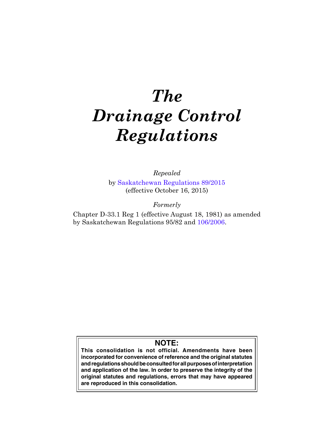# *The Drainage Control Regulations*

*Repealed* by [Saskatchewan Regulations 89/2015](http://www.qp.gov.sk.ca/documents/gazette/part2/2015/G2201543.pdf) (effective October 16, 2015)

*Formerly*

Chapter D-33.1 Reg 1 (effective August 18, 1981) as amended by Saskatchewan Regulations 95/82 and [106/2006.](http://www.qp.gov.sk.ca/documents/gazette/part2/2006/G2200646.pdf)

# **NOTE:**

**This consolidation is not official. Amendments have been incorporated for convenience of reference and the original statutes and regulations should be consulted for all purposes of interpretation and application of the law. In order to preserve the integrity of the original statutes and regulations, errors that may have appeared are reproduced in this consolidation.**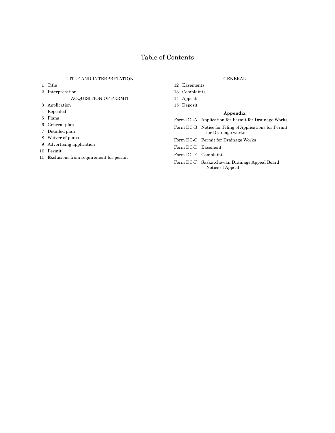## Table of Contents

## TITLE AND INTERPRETATION

- 1 Title
- 2 Interpretation

ACQUISITION OF PERMIT

- 3 Application
- 4 Repealed
- 5 Plans
- 6 General plan
- 7 Detailed plan
- 8 Waiver of plans
- 9 Advertising application
- 10 Permit
- 11 Exclusions from requirement for permit

## GENERAL

- 12 Easements 13 Complaints
- 14 Appeals
- 15 Deposit

#### **Appendix**

- Form DC-A Application for Permit for Drainage Works
- Form DC-B Notice for Filing of Applications for Permit for Drainage works
- Form DC-C Permit for Drainage Works
- Form DC-D Easement
- Form DC-E Complaint
- Form DC-F Saskatchewan Drainage Appeal Board Notice of Appeal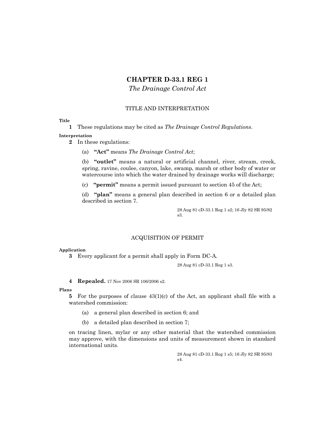## **CHAPTER D-33.1 REG 1**

*The Drainage Control Act*

## TITLE AND INTERPRETATION

## **Title**

**1** These regulations may be cited as *The Drainage Control Regulations*.

#### **Interpretation**

- **2** In these regulations:
	- (a) **"Act"** means *The Drainage Control Act*;

(b) **"outlet"** means a natural or artificial channel, river, stream, creek, spring, ravine, coulee, canyon, lake, swamp, marsh or other body of water or watercourse into which the water drained by drainage works will discharge;

(c) **"permit"** means a permit issued pursuant to section 45 of the Act;

(d) **"plan"** means a general plan described in section 6 or a detailed plan described in section 7.

> 28 Aug 81 cD-33.1 Reg 1 s2; 16 Jly 82 SR 95/82 s3.

## ACQUISITION OF PERMIT

#### **Application**

**3** Every applicant for a permit shall apply in Form DC-A.

28 Aug 81 cD-33.1 Reg 1 s3.

**4 Repealed.** 17 Nov 2006 SR 106/2006 s2.

#### **Plans**

**5** For the purposes of clause 43(1)(c) of the Act, an applicant shall file with a watershed commission:

- (a) a general plan described in section 6; and
- (b) a detailed plan described in section 7;

on tracing linen, mylar or any other material that the watershed commission may approve, with the dimensions and units of measurement shown in standard international units.

> 28 Aug 81 cD-33.1 Reg 1 s5; 16 Jly 82 SR 95/83 s4.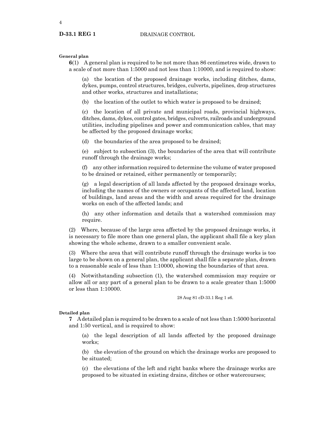4

**General plan**

**6**(1) A general plan is required to be not more than 86 centimetres wide, drawn to a scale of not more than 1:5000 and not less than 1:10000, and is required to show:

(a) the location of the proposed drainage works, including ditches, dams, dykes, pumps, control structures, bridges, culverts, pipelines, drop structures and other works, structures and installations;

(b) the location of the outlet to which water is proposed to be drained;

(c) the location of all private and municipal roads, provincial highways, ditches, dams, dykes, control gates, bridges, culverts, railroads and underground utilities, including pipelines and power and communication cables, that may be affected by the proposed drainage works;

(d) the boundaries of the area proposed to be drained;

(e) subject to subsection (3), the boundaries of the area that will contribute runoff through the drainage works;

(f) any other information required to determine the volume of water proposed to be drained or retained, either permanently or temporarily;

(g) a legal description of all lands affected by the proposed drainage works, including the names of the owners or occupants of the affected land, location of buildings, land areas and the width and areas required for the drainage works on each of the affected lands; and

(h) any other information and details that a watershed commission may require.

(2) Where, because of the large area affected by the proposed drainage works, it is necessary to file more than one general plan, the applicant shall file a key plan showing the whole scheme, drawn to a smaller convenient scale.

(3) Where the area that will contribute runoff through the drainage works is too large to be shown on a general plan, the applicant shall file a separate plan, drawn to a reasonable scale of less than 1:10000, showing the boundaries of that area.

(4) Notwithstanding subsection (1), the watershed commission may require or allow all or any part of a general plan to be drawn to a scale greater than 1:5000 or less than 1:10000.

28 Aug 81 cD-33.1 Reg 1 s6.

#### **Detailed plan**

**7** A detailed plan is required to be drawn to a scale of not less than 1:5000 horizontal and 1:50 vertical, and is required to show:

(a) the legal description of all lands affected by the proposed drainage works;

(b) the elevation of the ground on which the drainage works are proposed to be situated;

(c) the elevations of the left and right banks where the drainage works are proposed to be situated in existing drains, ditches or other watercourses;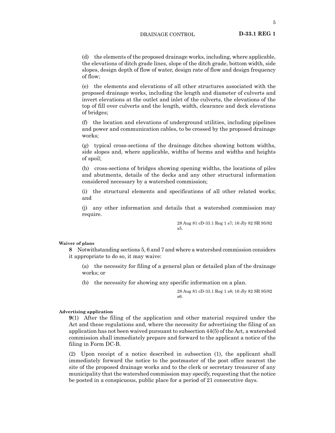(d) the elements of the proposed drainage works, including, where applicable, the elevations of ditch grade lines, slope of the ditch grade, bottom width, side slopes, design depth of flow of water, design rate of flow and design frequency of flow;

(e) the elements and elevations of all other structures associated with the proposed drainage works, including the length and diameter of culverts and invert elevations at the outlet and inlet of the culverts, the elevations of the top of fill over culverts and the length, width, clearance and deck elevations of bridges;

(f) the location and elevations of underground utilities, including pipelines and power and communication cables, to be crossed by the proposed drainage works;

(g) typical cross-sections of the drainage ditches showing bottom widths, side slopes and, where applicable, widths of berms and widths and heights of spoil;

(h) cross-sections of bridges showing opening widths, the locations of piles and abutments, details of the decks and any other structural information considered necessary by a watershed commission;

(i) the structural elements and specifications of all other related works; and

(j) any other information and details that a watershed commission may require.

> 28 Aug 81 cD-33.1 Reg 1 s7; 16 Jly 82 SR 95/82 s5.

#### **Waiver of plans**

**8** Notwithstanding sections 5, 6 and 7 and where a watershed commission considers it appropriate to do so, it may waive:

(a) the necessity for filing of a general plan or detailed plan of the drainage works; or

(b) the necessity for showing any specific information on a plan.

28 Aug 81 cD-33.1 Reg 1 s8; 16 Jly 82 SR 95/82 s6.

#### **Advertising application**

**9**(1) After the filing of the application and other material required under the Act and these regulations and, where the necessity for advertising the filing of an application has not been waived pursuant to subsection 44(5) of the Act, a watershed commission shall immediately prepare and forward to the applicant a notice of the filing in Form DC-B.

(2) Upon receipt of a notice described in subsection (1), the applicant shall immediately forward the notice to the postmaster of the post office nearest the site of the proposed drainage works and to the clerk or secretary treasurer of any municipality that the watershed commission may specify, requesting that the notice be posted in a conspicuous, public place for a period of 21 consecutive days.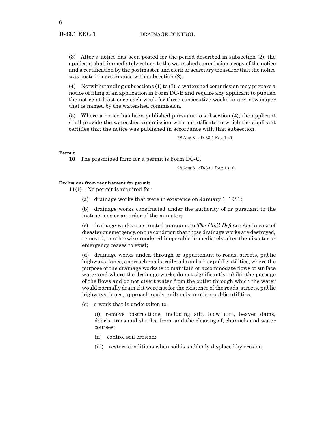(3) After a notice has been posted for the period described in subsection (2), the applicant shall immediately return to the watershed commission a copy of the notice and a certification by the postmaster and clerk or secretary treasurer that the notice was posted in accordance with subsection (2).

(4) Notwithstanding subsections (1) to (3), a watershed commission may prepare a notice of filing of an application in Form DC-B and require any applicant to publish the notice at least once each week for three consecutive weeks in any newspaper that is named by the watershed commission.

(5) Where a notice has been published pursuant to subsection (4), the applicant shall provide the watershed commission with a certificate in which the applicant certifies that the notice was published in accordance with that subsection.

28 Aug 81 cD-33.1 Reg 1 s9.

#### **Permit**

**10** The prescribed form for a permit is Form DC-C.

28 Aug 81 cD-33.1 Reg 1 s10.

### **Exclusions from requirement for permit**

**11**(1) No permit is required for:

(a) drainage works that were in existence on January 1, 1981;

(b) drainage works constructed under the authority of or pursuant to the instructions or an order of the minister;

(c) drainage works constructed pursuant to *The Civil Defence Act* in case of disaster or emergency, on the condition that those drainage works are destroyed, removed, or otherwise rendered inoperable immediately after the disaster or emergency ceases to exist;

(d) drainage works under, through or appurtenant to roads, streets, public highways, lanes, approach roads, railroads and other public utilities, where the purpose of the drainage works is to maintain or accommodate flows of surface water and where the drainage works do not significantly inhibit the passage of the flows and do not divert water from the outlet through which the water would normally drain if it were not for the existence of the roads, streets, public highways, lanes, approach roads, railroads or other public utilities;

(e) a work that is undertaken to:

(i) remove obstructions, including silt, blow dirt, beaver dams, debris, trees and shrubs, from, and the clearing of, channels and water courses;

- (ii) control soil erosion;
- (iii) restore conditions when soil is suddenly displaced by erosion;

**D-33.1 REG 1**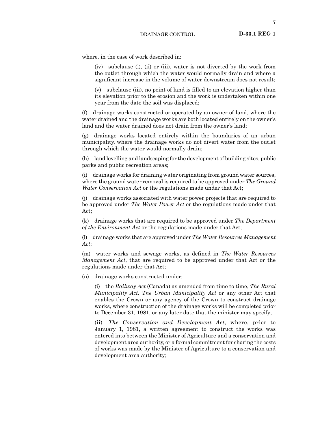where, in the case of work described in:

(iv) subclause (i), (ii) or (iii), water is not diverted by the work from the outlet through which the water would normally drain and where a significant increase in the volume of water downstream does not result;

(v) subclause (iii), no point of land is filled to an elevation higher than its elevation prior to the erosion and the work is undertaken within one year from the date the soil was displaced;

(f) drainage works constructed or operated by an owner of land, where the water drained and the drainage works are both located entirely on the owner's land and the water drained does not drain from the owner's land;

(g) drainage works located entirely within the boundaries of an urban municipality, where the drainage works do not divert water from the outlet through which the water would normally drain;

(h) land levelling and landscaping for the development of building sites, public parks and public recreation areas;

(i) drainage works for draining water originating from ground water sources, where the ground water removal is required to be approved under *The Ground Water Conservation Act* or the regulations made under that Act;

(j) drainage works associated with water power projects that are required to be approved under *The Water Power Act* or the regulations made under that Act;

(k) drainage works that are required to be approved under *The Department of the Environment Act* or the regulations made under that Act;

(l) drainage works that are approved under *The Water Resources Management Act*;

(m) water works and sewage works, as defined in *The Water Resources Management Act*, that are required to be approved under that Act or the regulations made under that Act;

(n) drainage works constructed under:

(i) the *Railway Act* (Canada) as amended from time to time, *The Rural Municipality Act, The Urban Municipality Act* or any other Act that enables the Crown or any agency of the Crown to construct drainage works, where construction of the drainage works will be completed prior to December 31, 1981, or any later date that the minister may specify;

(ii) *The Conservation and Development Act*, where, prior to January 1, 1981, a written agreement to construct the works was entered into between the Minister of Agriculture and a conservation and development area authority, or a formal commitment for sharing the costs of works was made by the Minister of Agriculture to a conservation and development area authority;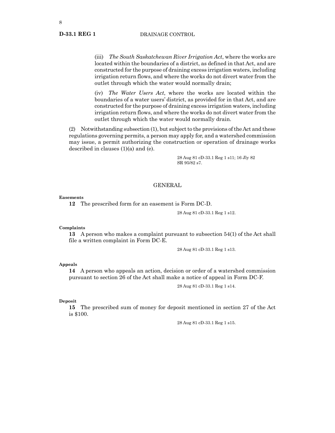#### **D-33.1 REG 1**

DRAINAGE CONTROL

(iii) *The South Saskatchewan River Irrigation Act*, where the works are located within the boundaries of a district, as defined in that Act, and are constructed for the purpose of draining excess irrigation waters, including irrigation return flows, and where the works do not divert water from the outlet through which the water would normally drain;

(iv) *The Water Users Act*, where the works are located within the boundaries of a water users' district, as provided for in that Act, and are constructed for the purpose of draining excess irrigation waters, including irrigation return flows, and where the works do not divert water from the outlet through which the water would normally drain.

(2) Notwithstanding subsection (1), but subject to the provisions of the Act and these regulations governing permits, a person may apply for, and a watershed commission may issue, a permit authorizing the construction or operation of drainage works described in clauses (1)(a) and (e).

> 28 Aug 81 cD-33.1 Reg 1 s11; 16 Jly 82 SR 95/82 s7.

#### GENERAL

#### **Easements**

**12** The prescribed form for an easement is Form DC-D.

28 Aug 81 cD-33.1 Reg 1 s12.

#### **Complaints**

**13** A person who makes a complaint pursuant to subsection 54(1) of the Act shall file a written complaint in Form DC-E.

28 Aug 81 cD-33.1 Reg 1 s13.

#### **Appeals**

**14** A person who appeals an action, decision or order of a watershed commission pursuant to section 26 of the Act shall make a notice of appeal in Form DC-F.

28 Aug 81 cD-33.1 Reg 1 s14.

#### **Deposit**

**15** The prescribed sum of money for deposit mentioned in section 27 of the Act is \$100.

28 Aug 81 cD-33.1 Reg 1 s15.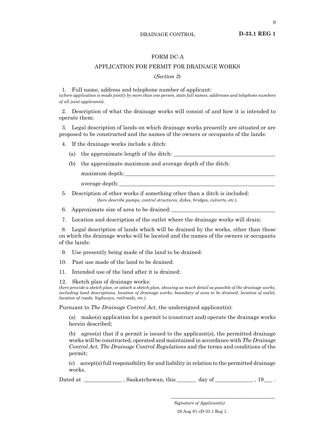**D-33.1 REG 1**

## FORM DC-A

## APPLICATION FOR PERMIT FOR DRAINAGE WORKS

#### (*Section 3*)

1. Full name, address and telephone number of applicant:

(*where application is made jointly by more than one person, state full names, addresses and telephone numbers of all joint applicants*).

2. Description of what the drainage works will consist of and how it is intended to operate them:

3. Legal description of lands on which drainage works presently are situated or are proposed to be constructed and the names of the owners or occupants of the lands:

4. If the drainage works include a ditch:

- (a) the approximate length of the ditch:
- (b) the approximate maximum and average depth of the ditch:

maximum depth:

average depth:

5. Description of other works if something other than a ditch is included: (*here describe pumps, control structures, dykes, bridges, culverts, etc.*).

6. Approximate size of area to be drained:

7. Location and description of the outlet where the drainage works will drain:

8. Legal description of lands which will be drained by the works, other than those on which the drainage works will be located and the names of the owners or occupants of the lands:

9. Use presently being made of the land to be drained:

10. Past use made of the land to be drained:

11. Intended use of the land after it is drained:

12. Sketch plan of drainage works:

(*here provide a sketch plan, or attach a sketch plan, showing as much detail as possible of the drainage works, including land descriptions, location of drainage works, boundary of area to be drained, location of outlet, location of roads, highways, railroads, etc.*).

Pursuant to *The Drainage Control Act*, the undersigned applicant(s):

(a) make(s) application for a permit to (construct and) operate the drainage works herein described;

(b) agree(s) that if a permit is issued to the applicant(s), the permitted drainage works will be constructed, operated and maintained in accordance with *The Drainage Control Act*, *The Drainage Control Regulations* and the terms and conditions of the permit;

(c) accept(s) full responsibility for and liability in relation to the permitted drainage works.

Dated at \_\_\_\_\_\_\_\_\_\_\_\_\_\_\_\_\_, Saskatchewan, this \_\_\_\_\_\_\_\_ day of \_\_\_\_\_\_\_\_\_\_\_\_\_\_\_\_\_, 19\_\_\_\_\_.

*Signature of Applicant(s)* 28 Aug 81 cD-33.1 Reg 1.

\_\_\_\_\_\_\_\_\_\_\_\_\_\_\_\_\_\_\_\_\_\_\_\_\_\_\_\_\_\_\_\_\_\_\_\_\_\_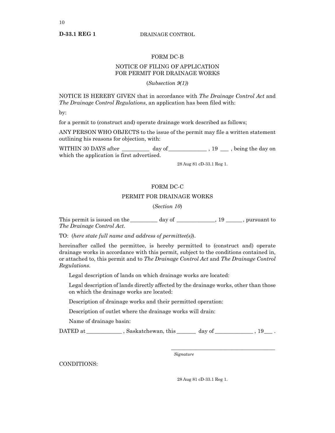**D-33.1 REG 1**

DRAINAGE CONTROL

#### FORM DC-B

## NOTICE OF FILING OF APPLICATION FOR PERMIT FOR DRAINAGE WORKS

(*Subsection 9(1)*)

NOTICE IS HEREBY GIVEN that in accordance with *The Drainage Control Act* and *The Drainage Control Regulations*, an application has been filed with:

by:

for a permit to (construct and) operate drainage work described as follows;

ANY PERSON WHO OBJECTS to the issue of the permit may file a written statement outlining his reasons for objection, with:

WITHIN 30 DAYS after \_\_\_\_\_\_\_\_\_ day of \_\_\_\_\_\_\_\_\_\_\_\_\_\_\_\_, 19 \_\_\_\_, being the day on which the application is first advertised.

28 Aug 81 cD-33.1 Reg 1.

## FORM DC-C

#### PERMIT FOR DRAINAGE WORKS

(*Section 10*)

This permit is issued on the \_\_\_\_\_\_\_\_ day of \_\_\_\_\_\_\_\_\_\_, 19 \_\_\_\_\_, pursuant to *The Drainage Control Act*.

TO: (*here state full name and address of permittee(s)*).

hereinafter called the permittee, is hereby permitted to (construct and) operate drainage works in accordance with this permit, subject to the conditions contained in, or attached to, this permit and to *The Drainage Control Act* and *The Drainage Control Regulations*.

Legal description of lands on which drainage works are located:

Legal description of lands directly affected by the drainage works, other than those on which the drainage works are located:

Description of drainage works and their permitted operation:

Description of outlet where the drainage works will drain:

Name of drainage basin:

DATED at \_\_\_\_\_\_\_\_\_\_\_\_\_ , Saskatchewan, this \_\_\_\_\_\_\_ day of \_\_\_\_\_\_\_\_\_\_\_\_\_\_ , 19*\_\_\_* .

*Signature*

CONDITIONS:

28 Aug 81 cD-33.1 Reg 1.

\_\_\_\_\_\_\_\_\_\_\_\_\_\_\_\_\_\_\_\_\_\_\_\_\_\_\_\_\_\_\_\_\_\_\_\_\_\_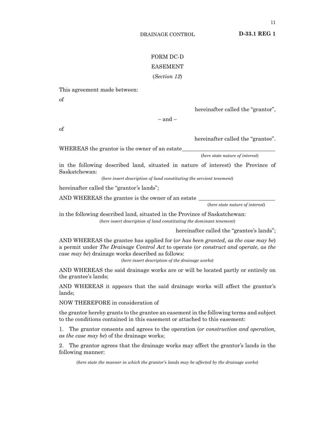**D-33.1 REG 1**

# FORM DC-D

# EASEMENT

## (*Section 12*)

This agreement made between:

of

hereinafter called the "grantor",

 $-$  and  $-$ 

of

hereinafter called the "grantee".

WHEREAS the grantor is the owner of an estate

(*here state nature of interest*)

in the following described land, situated in nature of interest) the Province of Saskatchewan:

(*here insert description of land constituting the servient tenement*)

hereinafter called the "grantor's lands";

AND WHEREAS the grantee is the owner of an estate

(*here state nature of interest*)

in the following described land, situated in the Province of Saskatchewan: (*here insert description of land constituting the dominant tenement*)

hereinafter called the "grantee's lands";

AND WHEREAS the grantee has applied for (*or has been granted, as the case may be*) a permit under *The Drainage Control Act* to operate (*or construct and operate, as the case may be*) drainage works described as follows:

(*here insert description of the drainage works*)

AND WHEREAS the said drainage works are or will be located partly or entirely on the grantee's lands;

AND WHEREAS it appears that the said drainage works will affect the grantor's lands;

NOW THEREFORE in consideration of

the grantor hereby grants to the grantee an easement in the following terms and subject to the conditions contained in this easement or attached to this easement:

1. The grantor consents and agrees to the operation (*or construction and operation, as the case may be*) of the drainage works;

2. The grantor agrees that the drainage works may affect the grantor's lands in the following manner:

(*here state the manner in which the grantor's lands may be affected by the drainage works*)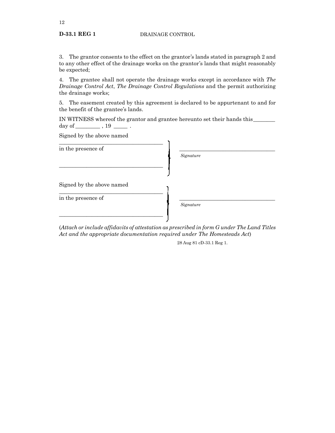3. The grantor consents to the effect on the grantor's lands stated in paragraph 2 and to any other effect of the drainage works on the grantor's lands that might reasonably be expected;

4. The grantee shall not operate the drainage works except in accordance with *The Drainage Control Act*, *The Drainage Control Regulations* and the permit authorizing the drainage works;

5. The easement created by this agreement is declared to be appurtenant to and for the benefit of the grantee's lands.

IN WITNESS whereof the grantor and grantee hereunto set their hands this\_\_\_\_\_\_\_\_ day of \_\_\_\_\_\_\_\_\_\_\_\_\_\_\_ , 19 \_\_\_\_\_\_\_\_\_ .

Signed by the above named

| in the presence of        |           |
|---------------------------|-----------|
|                           | Signature |
|                           |           |
| Signed by the above named |           |
| in the presence of        |           |
|                           | Signature |
|                           |           |

(*Attach or include affidavits of attestation as prescribed in form G under The Land Titles Act and the appropriate documentation required under The Homesteads Act*)

28 Aug 81 cD-33.1 Reg 1.

**D-33.1 REG 1**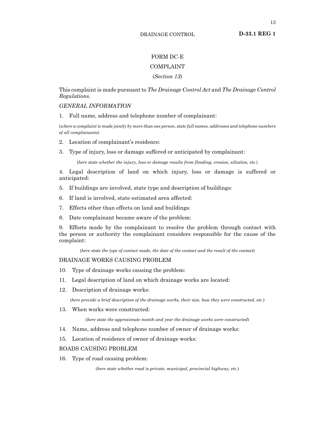**D-33.1 REG 1**

## FORM DC-E

## COMPLAINT

## (*Section 13*)

This complaint is made pursuant to *The Drainage Control Act* and *The Drainage Control Regulations*.

## *GENERAL INFORMATION*

1. Full name, address and telephone number of complainant:

(*where a complaint is made jointly by more than one person, state full names, addresses and telephone numbers of all complainants*)

- 2. Location of complainant's residence:
- 3. Type of injury, loss or damage suffered or anticipated by complainant:

(*here state whether the injury, loss or damage results from flooding, erosion, siltation, etc.*)

4. Legal description of land on which injury, loss or damage is suffered or anticipated:

- 5. If buildings are involved, state type and description of buildings:
- 6. If land is involved, state estimated area affected:
- 7. Effects other than effects on land and buildings:
- 8. Date complainant became aware of the problem:

9. Efforts made by the complainant to resolve the problem through contact with the person or authority the complainant considers responsible for the cause of the complaint:

(*here state the type of contact made, the date of the contact and the result of the contact*)

#### DRAINAGE WORKS CAUSING PROBLEM

- 10. Type of drainage works causing the problem:
- 11. Legal description of land on which drainage works are located:
- 12. Description of drainage works:

(*here provide a brief description of the drainage works, their size, how they were constructed, etc.*)

13. When works were constructed:

(*here state the approximate month and year the drainage works were constructed*)

- 14. Name, address and telephone number of owner of drainage works:
- 15. Location of residence of owner of drainage works:

## ROADS CAUSING PROBLEM

16. Type of road causing problem:

(*here state whether road is private, municipal, provincial highway, etc.*)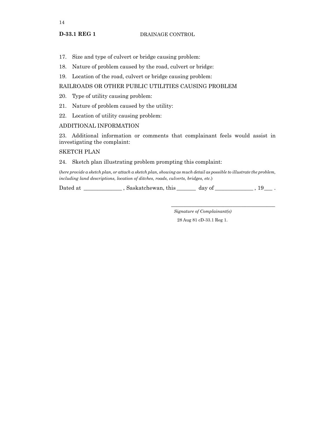- 17. Size and type of culvert or bridge causing problem:
- 18. Nature of problem caused by the road, culvert or bridge:
- 19. Location of the road, culvert or bridge causing problem:

## RAILROADS OR OTHER PUBLIC UTILITIES CAUSING PROBLEM

- 20. Type of utility causing problem:
- 21. Nature of problem caused by the utility:
- 22. Location of utility causing problem:

## ADDITIONAL INFORMATION

23. Additional information or comments that complainant feels would assist in investigating the complaint:

## SKETCH PLAN

## 24. Sketch plan illustrating problem prompting this complaint:

(*here provide a sketch plan, or attach a sketch plan, showing as much detail as possible to illustrate the problem, including land descriptions, location of ditches, roads, culverts, bridges, etc.*)

Dated at \_\_\_\_\_\_\_\_\_\_\_\_\_\_ , Saskatchewan, this \_\_\_\_\_\_\_ day of \_\_\_\_\_\_\_\_\_\_\_\_\_\_ , 19*\_\_\_* .

*Signature of Complainant(s)*

\_\_\_\_\_\_\_\_\_\_\_\_\_\_\_\_\_\_\_\_\_\_\_\_\_\_\_\_\_\_\_\_\_\_\_\_\_\_

28 Aug 81 cD-33.1 Reg 1.

**D-33.1 REG 1**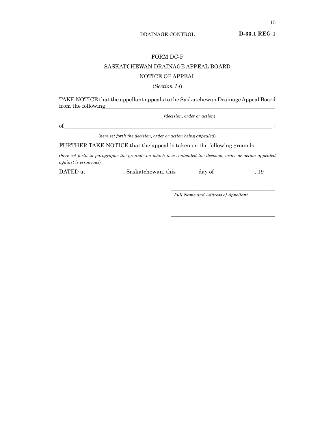**D-33.1 REG 1**

### FORM DC-F

## SASKATCHEWAN DRAINAGE APPEAL BOARD

## NOTICE OF APPEAL

#### (*Section 14*)

TAKE NOTICE that the appellant appeals to the Saskatchewan Drainage Appeal Board from the following\_\_\_\_\_\_\_\_\_\_\_\_\_\_\_\_\_\_\_\_\_\_\_\_\_\_\_\_\_\_\_\_\_\_\_\_\_\_\_\_\_\_\_\_\_\_\_\_\_\_\_\_\_\_\_\_\_\_\_\_\_\_

(*decision, order or action*)

 $of$   $\overline{\phantom{a}}$   $\qquad \qquad$   $\qquad \qquad$  :

(*here set forth the decision, order or action being appealed*)

FURTHER TAKE NOTICE that the appeal is taken on the following grounds:

(*here set forth in paragraphs the grounds on which it is contended the decision, order or action appealed against is erroneous*)

DATED at \_\_\_\_\_\_\_\_\_\_\_\_\_ , Saskatchewan, this \_\_\_\_\_\_\_ day of \_\_\_\_\_\_\_\_\_\_\_\_\_\_ , 19*\_\_\_* .

*Full name and address of appellant*

\_\_\_\_\_\_\_\_\_\_\_\_\_\_\_\_\_\_\_\_\_\_\_\_\_\_\_\_\_\_\_\_\_\_\_\_\_\_

\_\_\_\_\_\_\_\_\_\_\_\_\_\_\_\_\_\_\_\_\_\_\_\_\_\_\_\_\_\_\_\_\_\_\_\_\_\_